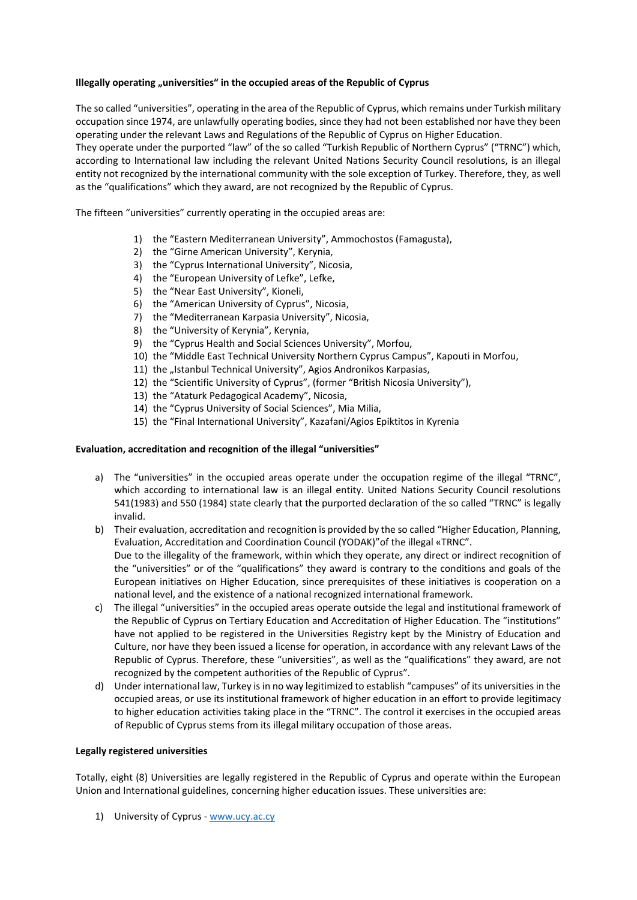## **Illegally operating "universities" in the occupied areas of the Republic of Cyprus**

The so called "universities", operating in the area of the Republic of Cyprus, which remains under Turkish military occupation since 1974, are unlawfully operating bodies, since they had not been established nor have they been operating under the relevant Laws and Regulations of the Republic of Cyprus on Higher Education.

They operate under the purported "law" of the so called "Turkish Republic of Northern Cyprus" ("TRNC") which, according to International law including the relevant United Nations Security Council resolutions, is an illegal entity not recognized by the international community with the sole exception of Turkey. Therefore, they, as well as the "qualifications" which they award, are not recognized by the Republic of Cyprus.

The fifteen "universities" currently operating in the occupied areas are:

- 1) the "Eastern Mediterranean University", Ammochostos (Famagusta),
- 2) the "Girne American University", Kerynia,
- 3) the "Cyprus International University", Nicosia,
- 4) the "European University of Lefke", Lefke,
- 5) the "Near East University", Kioneli,
- 6) the "American University of Cyprus", Nicosia,
- 7) the "Mediterranean Karpasia University", Nicosia,
- 8) the "University of Kerynia", Kerynia,
- 9) the "Cyprus Health and Social Sciences University", Morfou,
- 10) the "Middle East Technical University Northern Cyprus Campus", Kapouti in Morfou,
- 11) the "Istanbul Technical University", Agios Andronikos Karpasias,
- 12) the "Scientific University of Cyprus", (former "British Nicosia University"),
- 13) the "Ataturk Pedagogical Academy", Nicosia,
- 14) the "Cyprus University of Social Sciences", Mia Milia,
- 15) the "Final International University", Kazafani/Agios Epiktitos in Kyrenia

## **Evaluation, accreditation and recognition of the illegal "universities"**

- a) The "universities" in the occupied areas operate under the occupation regime of the illegal "TRNC", which according to international law is an illegal entity. United Nations Security Council resolutions 541(1983) and 550 (1984) state clearly that the purported declaration of the so called "TRNC" is legally invalid.
- b) Their evaluation, accreditation and recognition is provided by the so called "Higher Education, Planning, Evaluation, Accreditation and Coordination Council (YODAK)"of the illegal «ΤRNC". Due to the illegality of the framework, within which they operate, any direct or indirect recognition of the "universities" or of the "qualifications" they award is contrary to the conditions and goals of the European initiatives on Higher Education, since prerequisites of these initiatives is cooperation on a national level, and the existence of a national recognized international framework.
- c) The illegal "universities" in the occupied areas operate outside the legal and institutional framework of the Republic of Cyprus on Tertiary Education and Accreditation of Higher Education. The "institutions" have not applied to be registered in the Universities Registry kept by the Ministry of Education and Culture, nor have they been issued a license for operation, in accordance with any relevant Laws of the Republic of Cyprus. Therefore, these "universities", as well as the "qualifications" they award, are not recognized by the competent authorities of the Republic of Cyprus".
- d) Under international law, Turkey is in no way legitimized to establish "campuses" of its universities in the occupied areas, or use its institutional framework of higher education in an effort to provide legitimacy to higher education activities taking place in the "TRNC". The control it exercises in the occupied areas of Republic of Cyprus stems from its illegal military occupation of those areas.

## **Legally registered universities**

Totally, eight (8) Universities are legally registered in the Republic of Cyprus and operate within the European Union and International guidelines, concerning higher education issues. These universities are:

1) University of Cyprus ‐ www.ucy.ac.cy